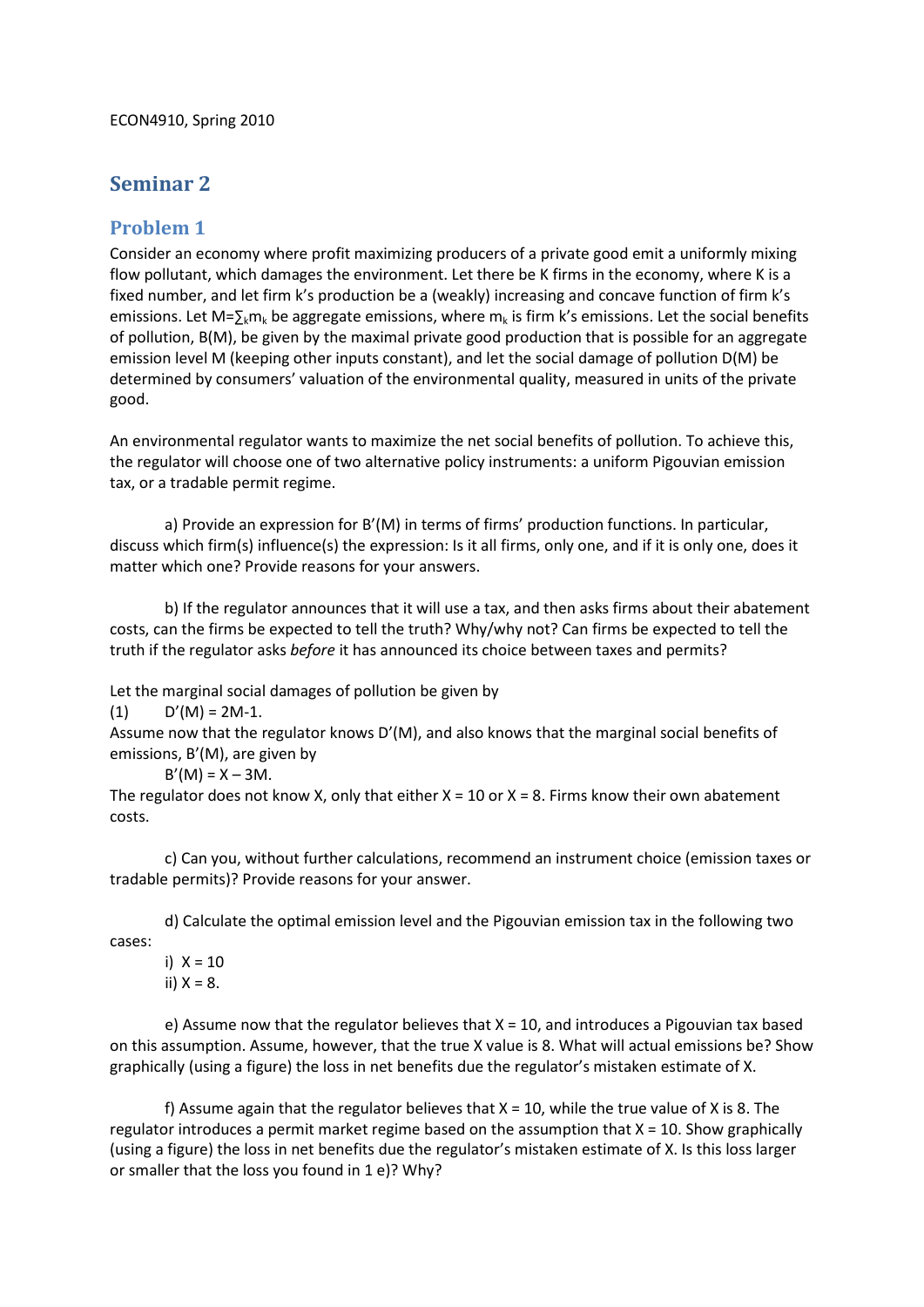## **Seminar 2**

## **Problem 1**

Consider an economy where profit maximizing producers of a private good emit a uniformly mixing flow pollutant, which damages the environment. Let there be K firms in the economy, where K is a fixed number, and let firm k's production be a (weakly) increasing and concave function of firm k's emissions. Let M= $\sum_{k} m_{k}$  be aggregate emissions, where  $m_{k}$  is firm k's emissions. Let the social benefits of pollution, B(M), be given by the maximal private good production that is possible for an aggregate emission level M (keeping other inputs constant), and let the social damage of pollution D(M) be determined by consumers' valuation of the environmental quality, measured in units of the private good.

An environmental regulator wants to maximize the net social benefits of pollution. To achieve this, the regulator will choose one of two alternative policy instruments: a uniform Pigouvian emission tax, or a tradable permit regime.

a) Provide an expression for B'(M) in terms of firms' production functions. In particular, discuss which firm(s) influence(s) the expression: Is it all firms, only one, and if it is only one, does it matter which one? Provide reasons for your answers.

b) If the regulator announces that it will use a tax, and then asks firms about their abatement costs, can the firms be expected to tell the truth? Why/why not? Can firms be expected to tell the truth if the regulator asks *before* it has announced its choice between taxes and permits?

Let the marginal social damages of pollution be given by

 $(D'(M) = 2M-1)$ .

Assume now that the regulator knows D'(M), and also knows that the marginal social benefits of emissions, B'(M), are given by

 $B'(M) = X - 3M$ .

The regulator does not know X, only that either  $X = 10$  or  $X = 8$ . Firms know their own abatement costs.

c) Can you, without further calculations, recommend an instrument choice (emission taxes or tradable permits)? Provide reasons for your answer.

d) Calculate the optimal emission level and the Pigouvian emission tax in the following two cases:

i)  $X = 10$ ii)  $X = 8$ .

e) Assume now that the regulator believes that  $X = 10$ , and introduces a Pigouvian tax based on this assumption. Assume, however, that the true X value is 8. What will actual emissions be? Show graphically (using a figure) the loss in net benefits due the regulator's mistaken estimate of X.

f) Assume again that the regulator believes that  $X = 10$ , while the true value of X is 8. The regulator introduces a permit market regime based on the assumption that  $X = 10$ . Show graphically (using a figure) the loss in net benefits due the regulator's mistaken estimate of X. Is this loss larger or smaller that the loss you found in 1 e)? Why?